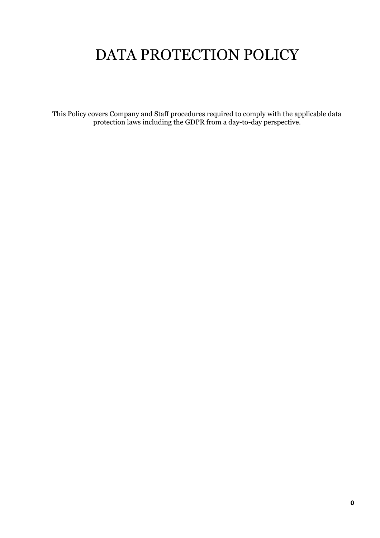# DATA PROTECTION POLICY

This Policy covers Company and Staff procedures required to comply with the applicable data protection laws including the GDPR from a day-to-day perspective.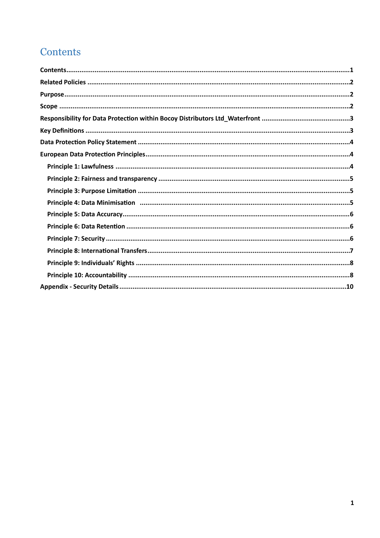# <span id="page-1-0"></span>Contents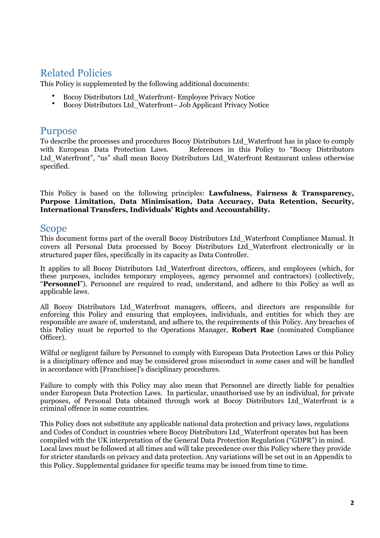# <span id="page-2-0"></span>Related Policies

This Policy is supplemented by the following additional documents:

- Bocoy Distributors Ltd\_Waterfront- Employee Privacy Notice
- Bocoy Distributors Ltd\_Waterfront– Job Applicant Privacy Notice

# <span id="page-2-1"></span>Purpose

To describe the processes and procedures Bocoy Distributors Ltd\_Waterfront has in place to comply with European Data Protection Laws. References in this Policy to "Bocoy Distributors" Ltd Waterfront", "us" shall mean Bocoy Distributors Ltd Waterfront Restaurant unless otherwise specified.

This Policy is based on the following principles: **Lawfulness, Fairness & Transparency, Purpose Limitation, Data Minimisation, Data Accuracy, Data Retention, Security, International Transfers, Individuals' Rights and Accountability.** 

# <span id="page-2-2"></span>Scope

This document forms part of the overall Bocoy Distributors Ltd\_Waterfront Compliance Manual. It covers all Personal Data processed by Bocoy Distributors Ltd\_Waterfront electronically or in structured paper files, specifically in its capacity as Data Controller.

It applies to all Bocoy Distributors Ltd\_Waterfront directors, officers, and employees (which, for these purposes, includes temporary employees, agency personnel and contractors) (collectively, "**Personnel**"). Personnel are required to read, understand, and adhere to this Policy as well as applicable laws.

All Bocoy Distributors Ltd\_Waterfront managers, officers, and directors are responsible for enforcing this Policy and ensuring that employees, individuals, and entities for which they are responsible are aware of, understand, and adhere to, the requirements of this Policy. Any breaches of this Policy must be reported to the Operations Manager, **Robert Rae** (nominated Compliance Officer).

Wilful or negligent failure by Personnel to comply with European Data Protection Laws or this Policy is a disciplinary offence and may be considered gross misconduct in some cases and will be handled in accordance with [Franchisee]'s disciplinary procedures.

Failure to comply with this Policy may also mean that Personnel are directly liable for penalties under European Data Protection Laws. In particular, unauthorised use by an individual, for private purposes, of Personal Data obtained through work at Bocoy Distributors Ltd\_Waterfront is a criminal offence in some countries.

This Policy does not substitute any applicable national data protection and privacy laws, regulations and Codes of Conduct in countries where Bocoy Distributors Ltd\_Waterfront operates but has been compiled with the UK interpretation of the General Data Protection Regulation ("GDPR") in mind. Local laws must be followed at all times and will take precedence over this Policy where they provide for stricter standards on privacy and data protection. Any variations will be set out in an Appendix to this Policy. Supplemental guidance for specific teams may be issued from time to time.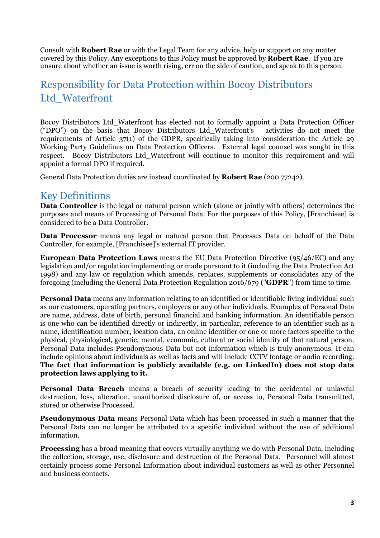Consult with **Robert Rae** or with the Legal Team for any advice, help or support on any matter covered by this Policy. Any exceptions to this Policy must be approved by **Robert Rae**. If you are unsure about whether an issue is worth rising, err on the side of caution, and speak to this person.

# <span id="page-3-0"></span>Responsibility for Data Protection within Bocoy Distributors Ltd\_Waterfront

Bocoy Distributors Ltd\_Waterfront has elected not to formally appoint a Data Protection Officer ("DPO") on the basis that Bocoy Distributors Ltd\_Waterfront's activities do not meet the requirements of Article 37(1) of the GDPR, specifically taking into consideration the Article 29 Working Party Guidelines on Data Protection Officers. External legal counsel was sought in this respect. Bocoy Distributors Ltd\_Waterfront will continue to monitor this requirement and will appoint a formal DPO if required.

General Data Protection duties are instead coordinated by **Robert Rae** (200 77242).

# <span id="page-3-1"></span>Key Definitions

**Data Controller** is the legal or natural person which (alone or jointly with others) determines the purposes and means of Processing of Personal Data. For the purposes of this Policy, [Franchisee] is considered to be a Data Controller.

**Data Processor** means any legal or natural person that Processes Data on behalf of the Data Controller, for example, [Franchisee]'s external IT provider.

**European Data Protection Laws** means the EU Data Protection Directive (95/46/EC) and any legislation and/or regulation implementing or made pursuant to it (including the Data Protection Act 1998) and any law or regulation which amends, replaces, supplements or consolidates any of the foregoing (including the General Data Protection Regulation 2016/679 ("**GDPR**") from time to time.

**Personal Data** means any information relating to an identified or identifiable living individual such as our customers, operating partners, employees or any other individuals. Examples of Personal Data are name, address, date of birth, personal financial and banking information. An identifiable person is one who can be identified directly or indirectly, in particular, reference to an identifier such as a name, identification number, location data, an online identifier or one or more factors specific to the physical, physiological, genetic, mental, economic, cultural or social identity of that natural person. Personal Data includes Pseudonymous Data but not information which is truly anonymous. It can include opinions about individuals as well as facts and will include CCTV footage or audio recording. **The fact that information is publicly available (e.g. on LinkedIn) does not stop data protection laws applying to it.**

**Personal Data Breach** means a breach of security leading to the accidental or unlawful destruction, loss, alteration, unauthorized disclosure of, or access to, Personal Data transmitted, stored or otherwise Processed.

**Pseudonymous Data** means Personal Data which has been processed in such a manner that the Personal Data can no longer be attributed to a specific individual without the use of additional information.

**Processing** has a broad meaning that covers virtually anything we do with Personal Data, including the collection, storage, use, disclosure and destruction of the Personal Data. Personnel will almost certainly process some Personal Information about individual customers as well as other Personnel and business contacts.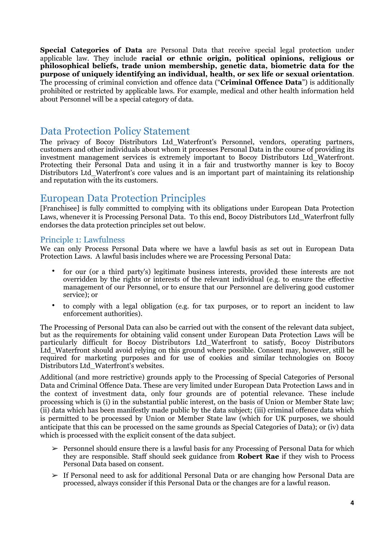**Special Categories of Data** are Personal Data that receive special legal protection under applicable law. They include **racial or ethnic origin, political opinions, religious or philosophical beliefs, trade union membership, genetic data, biometric data for the purpose of uniquely identifying an individual, health, or sex life or sexual orientation**. The processing of criminal conviction and offence data ("**Criminal Offence Data**") is additionally prohibited or restricted by applicable laws. For example, medical and other health information held about Personnel will be a special category of data.

# <span id="page-4-0"></span>Data Protection Policy Statement

The privacy of Bocoy Distributors Ltd\_Waterfront's Personnel, vendors, operating partners, customers and other individuals about whom it processes Personal Data in the course of providing its investment management services is extremely important to Bocoy Distributors Ltd\_Waterfront. Protecting their Personal Data and using it in a fair and trustworthy manner is key to Bocoy Distributors Ltd\_Waterfront's core values and is an important part of maintaining its relationship and reputation with the its customers.

# <span id="page-4-1"></span>European Data Protection Principles

[Franchisee] is fully committed to complying with its obligations under European Data Protection Laws, whenever it is Processing Personal Data. To this end, Bocoy Distributors Ltd\_Waterfront fully endorses the data protection principles set out below.

# <span id="page-4-2"></span>Principle 1: Lawfulness

We can only Process Personal Data where we have a lawful basis as set out in European Data Protection Laws. A lawful basis includes where we are Processing Personal Data:

- for our (or a third party's) legitimate business interests, provided these interests are not overridden by the rights or interests of the relevant individual (e.g. to ensure the effective management of our Personnel, or to ensure that our Personnel are delivering good customer service); or
- to comply with a legal obligation (e.g. for tax purposes, or to report an incident to law enforcement authorities).

The Processing of Personal Data can also be carried out with the consent of the relevant data subject, but as the requirements for obtaining valid consent under European Data Protection Laws will be particularly difficult for Bocoy Distributors Ltd\_Waterfront to satisfy, Bocoy Distributors Ltd\_Waterfront should avoid relying on this ground where possible. Consent may, however, still be required for marketing purposes and for use of cookies and similar technologies on Bocoy Distributors Ltd\_Waterfront's websites.

Additional (and more restrictive) grounds apply to the Processing of Special Categories of Personal Data and Criminal Offence Data. These are very limited under European Data Protection Laws and in the context of investment data, only four grounds are of potential relevance. These include processing which is (i) in the substantial public interest, on the basis of Union or Member State law; (ii) data which has been manifestly made public by the data subject; (iii) criminal offence data which is permitted to be processed by Union or Member State law (which for UK purposes, we should anticipate that this can be processed on the same grounds as Special Categories of Data); or (iv) data which is processed with the explicit consent of the data subject.

- $\triangleright$  Personnel should ensure there is a lawful basis for any Processing of Personal Data for which they are responsible. Staff should seek guidance from **Robert Rae** if they wish to Process Personal Data based on consent.
- $\geq$  If Personal need to ask for additional Personal Data or are changing how Personal Data are processed, always consider if this Personal Data or the changes are for a lawful reason.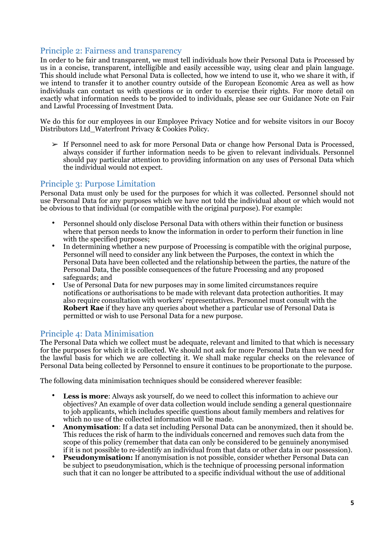# <span id="page-5-0"></span>Principle 2: Fairness and transparency

In order to be fair and transparent, we must tell individuals how their Personal Data is Processed by us in a concise, transparent, intelligible and easily accessible way, using clear and plain language. This should include what Personal Data is collected, how we intend to use it, who we share it with, if we intend to transfer it to another country outside of the European Economic Area as well as how individuals can contact us with questions or in order to exercise their rights. For more detail on exactly what information needs to be provided to individuals, please see our Guidance Note on Fair and Lawful Processing of Investment Data.

We do this for our employees in our Employee Privacy Notice and for website visitors in our Bocoy Distributors Ltd\_Waterfront Privacy & Cookies Policy.

 $\triangleright$  If Personnel need to ask for more Personal Data or change how Personal Data is Processed, always consider if further information needs to be given to relevant individuals. Personnel should pay particular attention to providing information on any uses of Personal Data which the individual would not expect.

# <span id="page-5-1"></span>Principle 3: Purpose Limitation

Personal Data must only be used for the purposes for which it was collected. Personnel should not use Personal Data for any purposes which we have not told the individual about or which would not be obvious to that individual (or compatible with the original purpose). For example:

- Personnel should only disclose Personal Data with others within their function or business where that person needs to know the information in order to perform their function in line with the specified purposes;
- In determining whether a new purpose of Processing is compatible with the original purpose, Personnel will need to consider any link between the Purposes, the context in which the Personal Data have been collected and the relationship between the parties, the nature of the Personal Data, the possible consequences of the future Processing and any proposed safeguards; and
- Use of Personal Data for new purposes may in some limited circumstances require notifications or authorisations to be made with relevant data protection authorities. It may also require consultation with workers' representatives. Personnel must consult with the **Robert Rae** if they have any queries about whether a particular use of Personal Data is permitted or wish to use Personal Data for a new purpose.

### <span id="page-5-2"></span>Principle 4: Data Minimisation

The Personal Data which we collect must be adequate, relevant and limited to that which is necessary for the purposes for which it is collected. We should not ask for more Personal Data than we need for the lawful basis for which we are collecting it. We shall make regular checks on the relevance of Personal Data being collected by Personnel to ensure it continues to be proportionate to the purpose.

The following data minimisation techniques should be considered wherever feasible:

- **Less is more**: Always ask yourself, do we need to collect this information to achieve our objectives? An example of over data collection would include sending a general questionnaire to job applicants, which includes specific questions about family members and relatives for which no use of the collected information will be made.
- **Anonymisation**: If a data set including Personal Data can be anonymized, then it should be. This reduces the risk of harm to the individuals concerned and removes such data from the scope of this policy (remember that data can only be considered to be genuinely anonymised if it is not possible to re-identify an individual from that data or other data in our possession).
- **Pseudonymisation:** If anonymisation is not possible, consider whether Personal Data can be subject to pseudonymisation, which is the technique of processing personal information such that it can no longer be attributed to a specific individual without the use of additional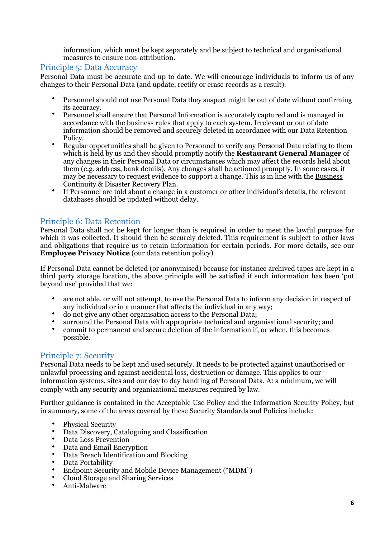information, which must be kept separately and be subject to technical and organisational measures to ensure non-attribution.

### <span id="page-6-0"></span>Principle 5: Data Accuracy

Personal Data must be accurate and up to date. We will encourage individuals to inform us of any changes to their Personal Data (and update, rectify or erase records as a result).

- Personnel should not use Personal Data they suspect might be out of date without confirming its accuracy.
- Personnel shall ensure that Personal Information is accurately captured and is managed in accordance with the business rules that apply to each system. Irrelevant or out of date information should be removed and securely deleted in accordance with our Data Retention **Policy**
- Regular opportunities shall be given to Personnel to verify any Personal Data relating to them which is held by us and they should promptly notify the **Restaurant General Manager** of any changes in their Personal Data or circumstances which may affect the records held about them (e.g. address, bank details). Any changes shall be actioned promptly. In some cases, it may be necessary to request evidence to support a change. This is in line with the Business Continuity & Disaster Recovery Plan.
- If Personnel are told about a change in a customer or other individual's details, the relevant databases should be updated without delay.

# <span id="page-6-1"></span>Principle 6: Data Retention

Personal Data shall not be kept for longer than is required in order to meet the lawful purpose for which it was collected. It should then be securely deleted. This requirement is subject to other laws and obligations that require us to retain information for certain periods. For more details, see our **Employee Privacy Notice** (our data retention policy).

If Personal Data cannot be deleted (or anonymised) because for instance archived tapes are kept in a third party storage location, the above principle will be satisfied if such information has been 'put beyond use' provided that we:

- are not able, or will not attempt, to use the Personal Data to inform any decision in respect of any individual or in a manner that affects the individual in any way;
- do not give any other organisation access to the Personal Data;
- surround the Personal Data with appropriate technical and organisational security; and
- commit to permanent and secure deletion of the information if, or when, this becomes possible.

# <span id="page-6-2"></span>Principle 7: Security

Personal Data needs to be kept and used securely. It needs to be protected against unauthorised or unlawful processing and against accidental loss, destruction or damage. This applies to our information systems, sites and our day to day handling of Personal Data. At a minimum, we will comply with any security and organizational measures required by law.

Further guidance is contained in the Acceptable Use Policy and the Information Security Policy, but in summary, some of the areas covered by these Security Standards and Policies include:

- Physical Security
- Data Discovery, Cataloguing and Classification
- Data Loss Prevention
- Data and Email Encryption
- Data Breach Identification and Blocking
- Data Portability
- Endpoint Security and Mobile Device Management ("MDM")
- Cloud Storage and Sharing Services
- Anti-Malware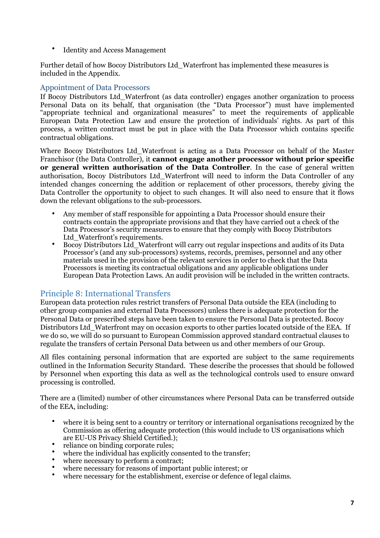• Identity and Access Management

Further detail of how Bocoy Distributors Ltd\_Waterfront has implemented these measures is included in the Appendix.

### Appointment of Data Processors

If Bocoy Distributors Ltd\_Waterfront (as data controller) engages another organization to process Personal Data on its behalf, that organisation (the "Data Processor") must have implemented "appropriate technical and organizational measures" to meet the requirements of applicable European Data Protection Law and ensure the protection of individuals' rights. As part of this process, a written contract must be put in place with the Data Processor which contains specific contractual obligations.

Where Bocoy Distributors Ltd\_Waterfront is acting as a Data Processor on behalf of the Master Franchisor (the Data Controller), it **cannot engage another processor without prior specific or general written authorisation of the Data Controller**. In the case of general written authorisation, Bocoy Distributors Ltd\_Waterfront will need to inform the Data Controller of any intended changes concerning the addition or replacement of other processors, thereby giving the Data Controller the opportunity to object to such changes. It will also need to ensure that it flows down the relevant obligations to the sub-processors.

- Any member of staff responsible for appointing a Data Processor should ensure their contracts contain the appropriate provisions and that they have carried out a check of the Data Processor's security measures to ensure that they comply with Bocoy Distributors Ltd Waterfront's requirements.
- Bocoy Distributors Ltd\_Waterfront will carry out regular inspections and audits of its Data Processor's (and any sub-processors) systems, records, premises, personnel and any other materials used in the provision of the relevant services in order to check that the Data Processors is meeting its contractual obligations and any applicable obligations under European Data Protection Laws. An audit provision will be included in the written contracts.

# <span id="page-7-0"></span>Principle 8: International Transfers

European data protection rules restrict transfers of Personal Data outside the EEA (including to other group companies and external Data Processors) unless there is adequate protection for the Personal Data or prescribed steps have been taken to ensure the Personal Data is protected. Bocoy Distributors Ltd\_Waterfront may on occasion exports to other parties located outside of the EEA. If we do so, we will do so pursuant to European Commission approved standard contractual clauses to regulate the transfers of certain Personal Data between us and other members of our Group.

All files containing personal information that are exported are subject to the same requirements outlined in the Information Security Standard. These describe the processes that should be followed by Personnel when exporting this data as well as the technological controls used to ensure onward processing is controlled.

There are a (limited) number of other circumstances where Personal Data can be transferred outside of the EEA, including:

- where it is being sent to a country or territory or international organisations recognized by the Commission as offering adequate protection (this would include to US organisations which are EU-US Privacy Shield Certified.);
- reliance on binding corporate rules;
- where the individual has explicitly consented to the transfer;
- where necessary to perform a contract;
- where necessary for reasons of important public interest; or
- where necessary for the establishment, exercise or defence of legal claims.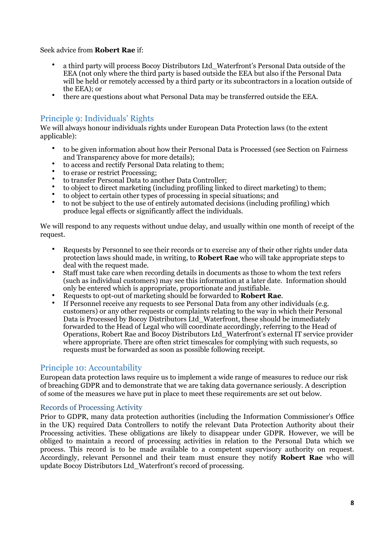Seek advice from **Robert Rae** if:

- a third party will process Bocoy Distributors Ltd\_Waterfront's Personal Data outside of the EEA (not only where the third party is based outside the EEA but also if the Personal Data will be held or remotely accessed by a third party or its subcontractors in a location outside of the EEA); or
- there are questions about what Personal Data may be transferred outside the EEA.

# <span id="page-8-0"></span>Principle 9: Individuals' Rights

We will always honour individuals rights under European Data Protection laws (to the extent applicable):

- to be given information about how their Personal Data is Processed (see Section on Fairness and Transparency above for more details);
- to access and rectify Personal Data relating to them;
- to erase or restrict Processing;
- to transfer Personal Data to another Data Controller;
- to object to direct marketing (including profiling linked to direct marketing) to them;
- to object to certain other types of processing in special situations; and
- to not be subject to the use of entirely automated decisions (including profiling) which produce legal effects or significantly affect the individuals.

We will respond to any requests without undue delay, and usually within one month of receipt of the request.

- Requests by Personnel to see their records or to exercise any of their other rights under data protection laws should made, in writing, to **Robert Rae** who will take appropriate steps to deal with the request made.
- Staff must take care when recording details in documents as those to whom the text refers (such as individual customers) may see this information at a later date. Information should only be entered which is appropriate, proportionate and justifiable.
- Requests to opt-out of marketing should be forwarded to **Robert Rae**.
- If Personnel receive any requests to see Personal Data from any other individuals (e.g. customers) or any other requests or complaints relating to the way in which their Personal Data is Processed by Bocoy Distributors Ltd Waterfront, these should be immediately forwarded to the Head of Legal who will coordinate accordingly, referring to the Head of Operations, Robert Rae and Bocoy Distributors Ltd\_Waterfront's external IT service provider where appropriate. There are often strict timescales for complying with such requests, so requests must be forwarded as soon as possible following receipt.

# <span id="page-8-1"></span>Principle 10: Accountability

European data protection laws require us to implement a wide range of measures to reduce our risk of breaching GDPR and to demonstrate that we are taking data governance seriously. A description of some of the measures we have put in place to meet these requirements are set out below.

#### Records of Processing Activity

Prior to GDPR, many data protection authorities (including the Information Commissioner's Office in the UK) required Data Controllers to notify the relevant Data Protection Authority about their Processing activities. These obligations are likely to disappear under GDPR. However, we will be obliged to maintain a record of processing activities in relation to the Personal Data which we process. This record is to be made available to a competent supervisory authority on request. Accordingly, relevant Personnel and their team must ensure they notify **Robert Rae** who will update Bocoy Distributors Ltd\_Waterfront's record of processing.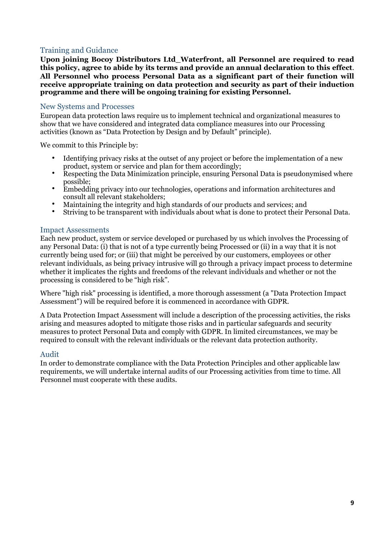# Training and Guidance

**Upon joining Bocoy Distributors Ltd\_Waterfront, all Personnel are required to read this policy, agree to abide by its terms and provide an annual declaration to this effect**. **All Personnel who process Personal Data as a significant part of their function will receive appropriate training on data protection and security as part of their induction programme and there will be ongoing training for existing Personnel.**

#### New Systems and Processes

European data protection laws require us to implement technical and organizational measures to show that we have considered and integrated data compliance measures into our Processing activities (known as "Data Protection by Design and by Default" principle).

We commit to this Principle by:

- Identifying privacy risks at the outset of any project or before the implementation of a new product, system or service and plan for them accordingly;
- Respecting the Data Minimization principle, ensuring Personal Data is pseudonymised where possible;
- Embedding privacy into our technologies, operations and information architectures and consult all relevant stakeholders;
- Maintaining the integrity and high standards of our products and services; and
- Striving to be transparent with individuals about what is done to protect their Personal Data.

#### Impact Assessments

Each new product, system or service developed or purchased by us which involves the Processing of any Personal Data: (i) that is not of a type currently being Processed or (ii) in a way that it is not currently being used for; or (iii) that might be perceived by our customers, employees or other relevant individuals, as being privacy intrusive will go through a privacy impact process to determine whether it implicates the rights and freedoms of the relevant individuals and whether or not the processing is considered to be "high risk".

Where "high risk" processing is identified, a more thorough assessment (a "Data Protection Impact Assessment") will be required before it is commenced in accordance with GDPR.

A Data Protection Impact Assessment will include a description of the processing activities, the risks arising and measures adopted to mitigate those risks and in particular safeguards and security measures to protect Personal Data and comply with GDPR. In limited circumstances, we may be required to consult with the relevant individuals or the relevant data protection authority.

#### Audit

In order to demonstrate compliance with the Data Protection Principles and other applicable law requirements, we will undertake internal audits of our Processing activities from time to time. All Personnel must cooperate with these audits.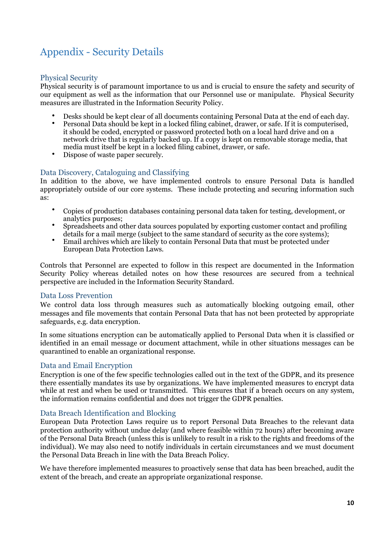# <span id="page-10-0"></span>Appendix - Security Details

# Physical Security

Physical security is of paramount importance to us and is crucial to ensure the safety and security of our equipment as well as the information that our Personnel use or manipulate. Physical Security measures are illustrated in the Information Security Policy.

- Desks should be kept clear of all documents containing Personal Data at the end of each day.
- Personal Data should be kept in a locked filing cabinet, drawer, or safe. If it is computerised, it should be coded, encrypted or password protected both on a local hard drive and on a network drive that is regularly backed up. If a copy is kept on removable storage media, that media must itself be kept in a locked filing cabinet, drawer, or safe.
- Dispose of waste paper securely.

# Data Discovery, Cataloguing and Classifying

In addition to the above, we have implemented controls to ensure Personal Data is handled appropriately outside of our core systems. These include protecting and securing information such as:

- Copies of production databases containing personal data taken for testing, development, or analytics purposes;
- Spreadsheets and other data sources populated by exporting customer contact and profiling details for a mail merge (subject to the same standard of security as the core systems);
- Email archives which are likely to contain Personal Data that must be protected under European Data Protection Laws.

Controls that Personnel are expected to follow in this respect are documented in the Information Security Policy whereas detailed notes on how these resources are secured from a technical perspective are included in the Information Security Standard.

#### Data Loss Prevention

We control data loss through measures such as automatically blocking outgoing email, other messages and file movements that contain Personal Data that has not been protected by appropriate safeguards, e.g. data encryption.

In some situations encryption can be automatically applied to Personal Data when it is classified or identified in an email message or document attachment, while in other situations messages can be quarantined to enable an organizational response.

### Data and Email Encryption

Encryption is one of the few specific technologies called out in the text of the GDPR, and its presence there essentially mandates its use by organizations. We have implemented measures to encrypt data while at rest and when be used or transmitted. This ensures that if a breach occurs on any system, the information remains confidential and does not trigger the GDPR penalties.

### Data Breach Identification and Blocking

European Data Protection Laws require us to report Personal Data Breaches to the relevant data protection authority without undue delay (and where feasible within 72 hours) after becoming aware of the Personal Data Breach (unless this is unlikely to result in a risk to the rights and freedoms of the individual). We may also need to notify individuals in certain circumstances and we must document the Personal Data Breach in line with the Data Breach Policy.

We have therefore implemented measures to proactively sense that data has been breached, audit the extent of the breach, and create an appropriate organizational response.